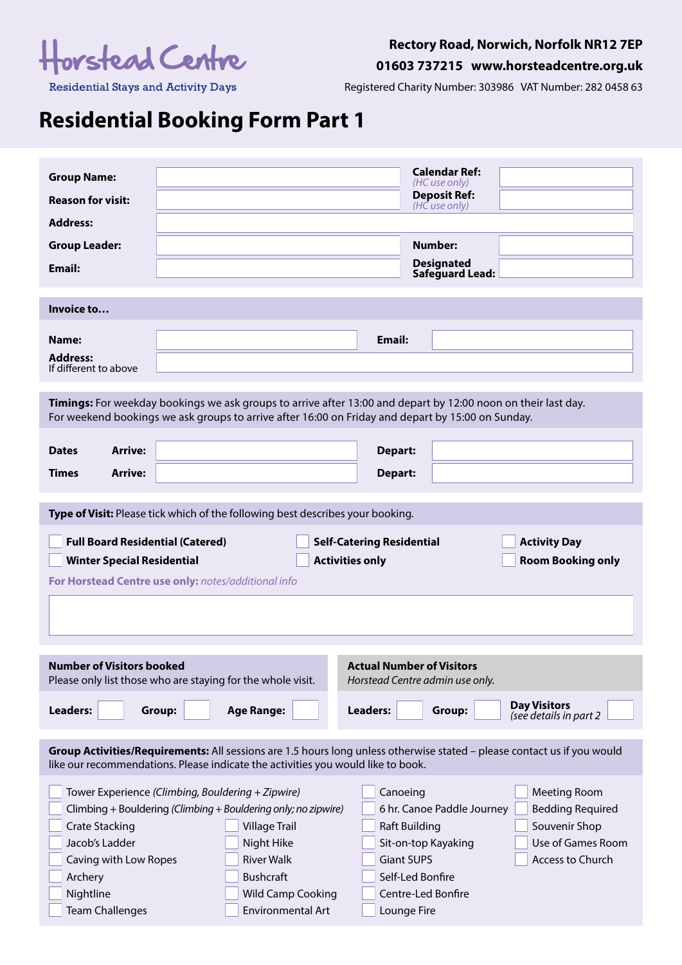

# **Rectory Road, Norwich, Norfolk NR12 7EP**

**01603 737215 www.horsteadcentre.org.uk**

**Residential Stays and Activity Days** 

Registered Charity Number: 303986 VAT Number: 282 0458 63

# **Residential Booking Form Part 1**

| <b>Group Name:</b><br><b>Reason for visit:</b><br><b>Address:</b>                                                                                                                                                                                    |                                                                                                                                                                                                                                                                                                                                                        | <b>Calendar Ref:</b><br>(HC use only)<br><b>Deposit Ref:</b><br>(HC use only)                                                                                                              |  |  |  |  |
|------------------------------------------------------------------------------------------------------------------------------------------------------------------------------------------------------------------------------------------------------|--------------------------------------------------------------------------------------------------------------------------------------------------------------------------------------------------------------------------------------------------------------------------------------------------------------------------------------------------------|--------------------------------------------------------------------------------------------------------------------------------------------------------------------------------------------|--|--|--|--|
| <b>Group Leader:</b><br>Email:                                                                                                                                                                                                                       |                                                                                                                                                                                                                                                                                                                                                        | <b>Number:</b><br><b>Designated</b><br>Safeguard Lead:                                                                                                                                     |  |  |  |  |
| Invoice to                                                                                                                                                                                                                                           |                                                                                                                                                                                                                                                                                                                                                        |                                                                                                                                                                                            |  |  |  |  |
| Name:<br><b>Address:</b><br>If different to above                                                                                                                                                                                                    | Email:                                                                                                                                                                                                                                                                                                                                                 |                                                                                                                                                                                            |  |  |  |  |
|                                                                                                                                                                                                                                                      | Timings: For weekday bookings we ask groups to arrive after 13:00 and depart by 12:00 noon on their last day.<br>For weekend bookings we ask groups to arrive after 16:00 on Friday and depart by 15:00 on Sunday.                                                                                                                                     |                                                                                                                                                                                            |  |  |  |  |
| <b>Arrive:</b><br><b>Dates</b><br><b>Arrive:</b><br><b>Times</b>                                                                                                                                                                                     | Depart:<br>Depart:                                                                                                                                                                                                                                                                                                                                     |                                                                                                                                                                                            |  |  |  |  |
|                                                                                                                                                                                                                                                      | Type of Visit: Please tick which of the following best describes your booking.                                                                                                                                                                                                                                                                         |                                                                                                                                                                                            |  |  |  |  |
| <b>Full Board Residential (Catered)</b><br><b>Self-Catering Residential</b><br><b>Activity Day</b><br><b>Winter Special Residential</b><br><b>Activities only</b><br><b>Room Booking only</b><br>For Horstead Centre use only: notes/additional info |                                                                                                                                                                                                                                                                                                                                                        |                                                                                                                                                                                            |  |  |  |  |
| <b>Number of Visitors booked</b>                                                                                                                                                                                                                     | <b>Actual Number of Visitors</b><br>Horstead Centre admin use only.<br>Please only list those who are staying for the whole visit.                                                                                                                                                                                                                     |                                                                                                                                                                                            |  |  |  |  |
| Leaders:                                                                                                                                                                                                                                             | <b>Age Range:</b><br>Leaders:<br>Group:                                                                                                                                                                                                                                                                                                                | <b>Day Visitors</b><br>Group:<br>(see details in part 2                                                                                                                                    |  |  |  |  |
| Group Activities/Requirements: All sessions are 1.5 hours long unless otherwise stated - please contact us if you would<br>like our recommendations. Please indicate the activities you would like to book.                                          |                                                                                                                                                                                                                                                                                                                                                        |                                                                                                                                                                                            |  |  |  |  |
| <b>Crate Stacking</b><br>Jacob's Ladder<br>Caving with Low Ropes<br>Archery<br>Nightline<br><b>Team Challenges</b>                                                                                                                                   | Tower Experience (Climbing, Bouldering + Zipwire)<br>Canoeing<br>Climbing + Bouldering (Climbing + Bouldering only; no zipwire)<br><b>Village Trail</b><br><b>Raft Building</b><br>Night Hike<br><b>River Walk</b><br><b>Giant SUPS</b><br><b>Bushcraft</b><br>Self-Led Bonfire<br><b>Wild Camp Cooking</b><br><b>Environmental Art</b><br>Lounge Fire | <b>Meeting Room</b><br>6 hr. Canoe Paddle Journey<br><b>Bedding Required</b><br>Souvenir Shop<br>Use of Games Room<br>Sit-on-top Kayaking<br><b>Access to Church</b><br>Centre-Led Bonfire |  |  |  |  |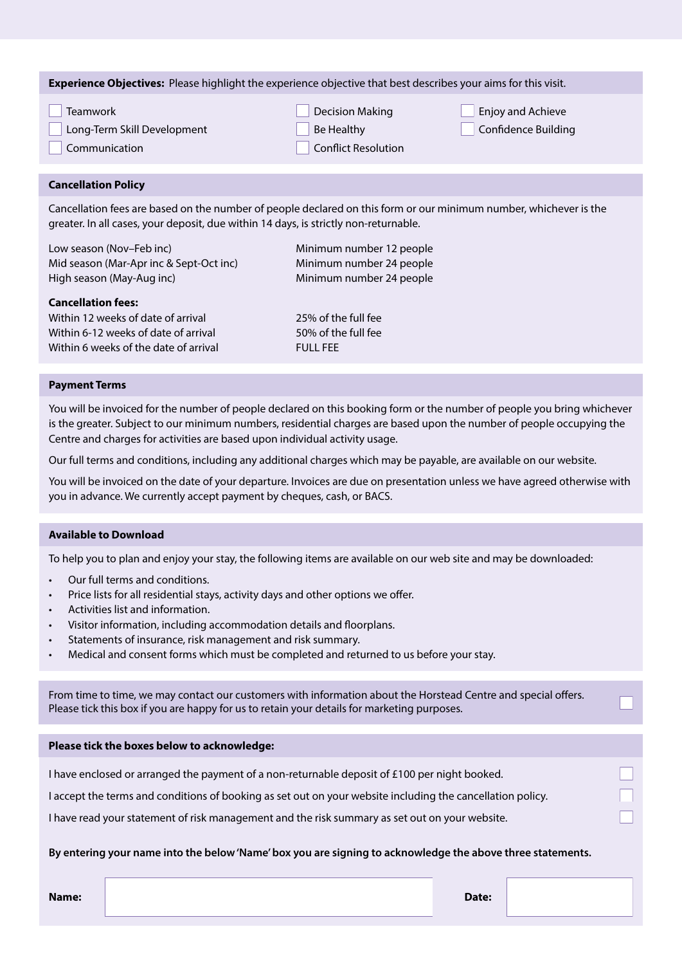| <b>Experience Objectives:</b> Please highlight the experience objective that best describes your aims for this visit. |                            |                            |  |  |  |  |
|-----------------------------------------------------------------------------------------------------------------------|----------------------------|----------------------------|--|--|--|--|
| <b>Teamwork</b>                                                                                                       | <b>Decision Making</b>     | Enjoy and Achieve          |  |  |  |  |
| Long-Term Skill Development                                                                                           | Be Healthy                 | <b>Confidence Building</b> |  |  |  |  |
| Communication                                                                                                         | <b>Conflict Resolution</b> |                            |  |  |  |  |
|                                                                                                                       |                            |                            |  |  |  |  |

## **Cancellation Policy**

Cancellation fees are based on the number of people declared on this form or our minimum number, whichever is the greater. In all cases, your deposit, due within 14 days, is strictly non-returnable.

| <b>Cancellation fees:</b>               |                          |
|-----------------------------------------|--------------------------|
| High season (May-Aug inc)               | Minimum number 24 people |
| Mid season (Mar-Apr inc & Sept-Oct inc) | Minimum number 24 people |
| Low season (Nov-Feb inc)                | Minimum number 12 people |

Within 12 weeks of date of arrival 25% of the full fee Within 6-12 weeks of date of arrival 50% of the full fee Within 6 weeks of the date of arrival  $FUV$  FULL FEE

### **Payment Terms**

You will be invoiced for the number of people declared on this booking form or the number of people you bring whichever is the greater. Subject to our minimum numbers, residential charges are based upon the number of people occupying the Centre and charges for activities are based upon individual activity usage.

Our full terms and conditions, including any additional charges which may be payable, are available on our website.

You will be invoiced on the date of your departure. Invoices are due on presentation unless we have agreed otherwise with you in advance. We currently accept payment by cheques, cash, or BACS.

### **Available to Download**

To help you to plan and enjoy your stay, the following items are available on our web site and may be downloaded:

- Our full terms and conditions.
- Price lists for all residential stays, activity days and other options we offer.
- Activities list and information.
- Visitor information, including accommodation details and floorplans.
- Statements of insurance, risk management and risk summary.
- Medical and consent forms which must be completed and returned to us before your stay.

From time to time, we may contact our customers with information about the Horstead Centre and special offers. Please tick this box if you are happy for us to retain your details for marketing purposes.

### **Please tick the boxes below to acknowledge:**

I have enclosed or arranged the payment of a non-returnable deposit of £100 per night booked.

I accept the terms and conditions of booking as set out on your website including the cancellation policy.

I have read your statement of risk management and the risk summary as set out on your website.

#### **By entering your name into the below 'Name' box you are signing to acknowledge the above three statements.**

**Name:**

**Date:**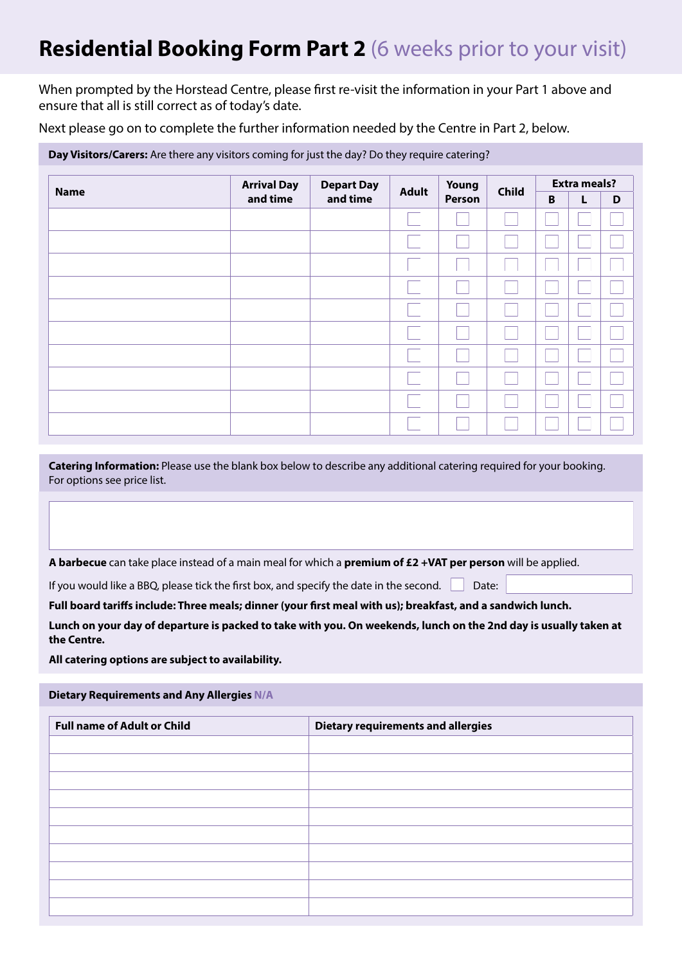# **Residential Booking Form Part 2** (6 weeks prior to your visit)

When prompted by the Horstead Centre, please first re-visit the information in your Part 1 above and ensure that all is still correct as of today's date.

Next please go on to complete the further information needed by the Centre in Part 2, below.

| Day Visitors/Carers: Are there any visitors coming for just the day? Do they require catering? |                    |                               |              |                 |              |                     |   |   |
|------------------------------------------------------------------------------------------------|--------------------|-------------------------------|--------------|-----------------|--------------|---------------------|---|---|
| <b>Name</b>                                                                                    | <b>Arrival Day</b> | <b>Depart Day</b><br>and time | <b>Adult</b> | Young<br>Person | <b>Child</b> | <b>Extra meals?</b> |   |   |
|                                                                                                | and time           |                               |              |                 |              | B                   | L | D |
|                                                                                                |                    |                               |              |                 |              |                     |   |   |
|                                                                                                |                    |                               |              |                 |              |                     |   |   |
|                                                                                                |                    |                               |              |                 |              |                     |   |   |
|                                                                                                |                    |                               |              |                 |              |                     |   |   |
|                                                                                                |                    |                               |              |                 |              |                     |   |   |
|                                                                                                |                    |                               |              |                 |              |                     |   |   |
|                                                                                                |                    |                               |              |                 |              |                     |   |   |
|                                                                                                |                    |                               |              |                 |              |                     |   |   |
|                                                                                                |                    |                               |              |                 |              |                     |   |   |
|                                                                                                |                    |                               |              |                 |              |                     |   |   |

**Catering Information:** Please use the blank box below to describe any additional catering required for your booking. For options see price list.

**A barbecue** can take place instead of a main meal for which a **premium of £2 +VAT per person** will be applied.

If you would like a BBQ, please tick the first box, and specify the date in the second.  $\Box$  Date:

### **Full board tariffs include: Three meals; dinner (your first meal with us); breakfast, and a sandwich lunch.**

**Lunch on your day of departure is packed to take with you. On weekends, lunch on the 2nd day is usually taken at the Centre.**

**All catering options are subject to availability.**

# **Dietary Requirements and Any Allergies N/A**

| <b>Full name of Adult or Child</b> | <b>Dietary requirements and allergies</b> |
|------------------------------------|-------------------------------------------|
|                                    |                                           |
|                                    |                                           |
|                                    |                                           |
|                                    |                                           |
|                                    |                                           |
|                                    |                                           |
|                                    |                                           |
|                                    |                                           |
|                                    |                                           |
|                                    |                                           |